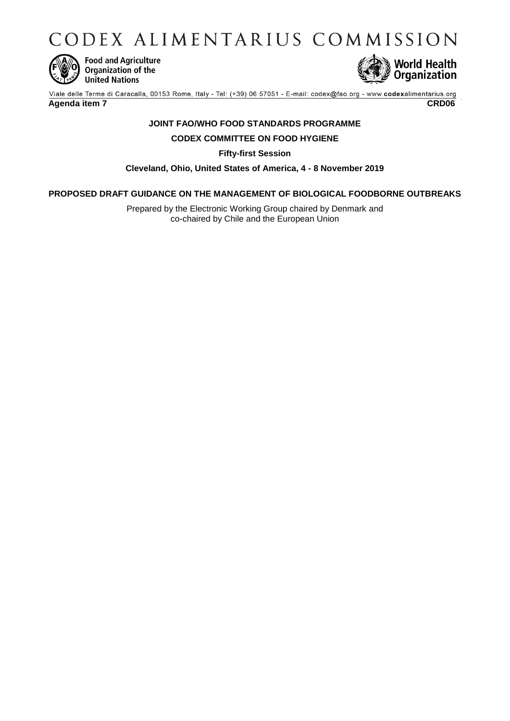CODEX ALIMENTARIUS COMMISSION



**Food and Agriculture**<br>Organization of the **United Nations** 



Viale delle Terme di Caracalla, 00153 Rome, Italy - Tel: (+39) 06 57051 - E-mail: codex@fao.org - www.codexalimentarius.org **Agenda item 7 CRD06**

# **JOINT FAO/WHO FOOD STANDARDS PROGRAMME**

# **CODEX COMMITTEE ON FOOD HYGIENE**

**Fifty-first Session**

**Cleveland, Ohio, United States of America, 4 - 8 November 2019**

# **PROPOSED DRAFT GUIDANCE ON THE MANAGEMENT OF BIOLOGICAL FOODBORNE OUTBREAKS**

Prepared by the Electronic Working Group chaired by Denmark and co-chaired by Chile and the European Union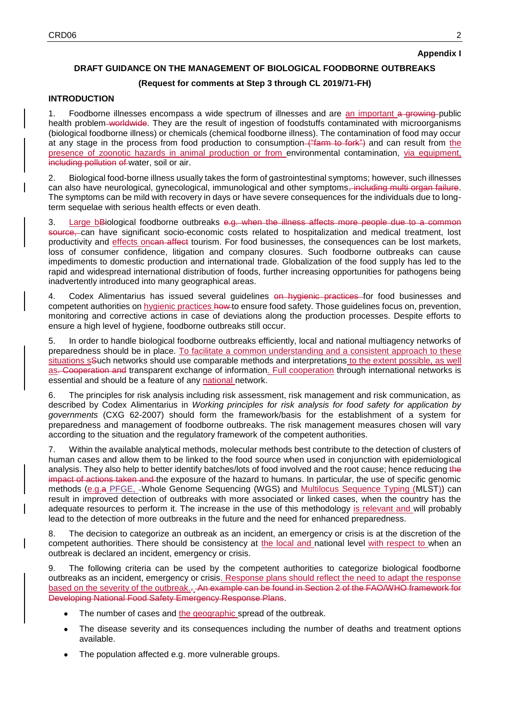# **DRAFT GUIDANCE ON THE MANAGEMENT OF BIOLOGICAL FOODBORNE OUTBREAKS**

## **(Request for comments at Step 3 through CL 2019/71-FH)**

#### **INTRODUCTION**

1. Foodborne illnesses encompass a wide spectrum of illnesses and are an important a growing-public health problem worldwide. They are the result of ingestion of foodstuffs contaminated with microorganisms (biological foodborne illness) or chemicals (chemical foodborne illness). The contamination of food may occur at any stage in the process from food production to consumption ("farm to fork") and can result from the presence of zoonotic hazards in animal production or from environmental contamination, via equipment, including pollution of water, soil or air.

2. Biological food-borne illness usually takes the form of gastrointestinal symptoms; however, such illnesses can also have neurological, gynecological, immunological and other symptoms, including multi organ failure. The symptoms can be mild with recovery in days or have severe consequences for the individuals due to longterm sequelae with serious health effects or even death.

3. Large bBiological foodborne outbreaks e.g. when the illness affects more people due to a common source, can have significant socio-economic costs related to hospitalization and medical treatment, lost productivity and effects oncan affect tourism. For food businesses, the consequences can be lost markets, loss of consumer confidence, litigation and company closures. Such foodborne outbreaks can cause impediments to domestic production and international trade. Globalization of the food supply has led to the rapid and widespread international distribution of foods, further increasing opportunities for pathogens being inadvertently introduced into many geographical areas.

4. Codex Alimentarius has issued several guidelines on hygienic practices for food businesses and competent authorities on hygienic practices how to ensure food safety. Those guidelines focus on, prevention, monitoring and corrective actions in case of deviations along the production processes. Despite efforts to ensure a high level of hygiene, foodborne outbreaks still occur.

5. In order to handle biological foodborne outbreaks efficiently, local and national multiagency networks of preparedness should be in place. To facilitate a common understanding and a consistent approach to these situations sSuch networks should use comparable methods and interpretations to the extent possible, as well as. Cooperation and transparent exchange of information. Full cooperation through international networks is essential and should be a feature of any national network.

6. The principles for risk analysis including risk assessment, risk management and risk communication, as described by Codex Alimentarius in *Working principles for risk analysis for food safety for application by governments* (CXG 62-2007) should form the framework/basis for the establishment of a system for preparedness and management of foodborne outbreaks. The risk management measures chosen will vary according to the situation and the regulatory framework of the competent authorities.

7. Within the available analytical methods, molecular methods best contribute to the detection of clusters of human cases and allow them to be linked to the food source when used in conjunction with epidemiological analysis. They also help to better identify batches/lots of food involved and the root cause; hence reducing the impact of actions taken and the exposure of the hazard to humans. In particular, the use of specific genomic methods (e.g.a PFGE, -Whole Genome Sequencing (WGS) and Multilocus Sequence Typing (MLST)) can result in improved detection of outbreaks with more associated or linked cases, when the country has the adequate resources to perform it. The increase in the use of this methodology is relevant and will probably lead to the detection of more outbreaks in the future and the need for enhanced preparedness.

8. The decision to categorize an outbreak as an incident, an emergency or crisis is at the discretion of the competent authorities. There should be consistency at the local and national level with respect to when an outbreak is declared an incident, emergency or crisis.

9. The following criteria can be used by the competent authorities to categorize biological foodborne outbreaks as an incident, emergency or crisis. Response plans should reflect the need to adapt the response based on the severity of the outbreak.. An example can be found in Section 2 of the FAO/WHO framework for Developing National Food Safety Emergency Response Plans.

- The number of cases and the geographic spread of the outbreak.
- The disease severity and its consequences including the number of deaths and treatment options available.
- The population affected e.g. more vulnerable groups.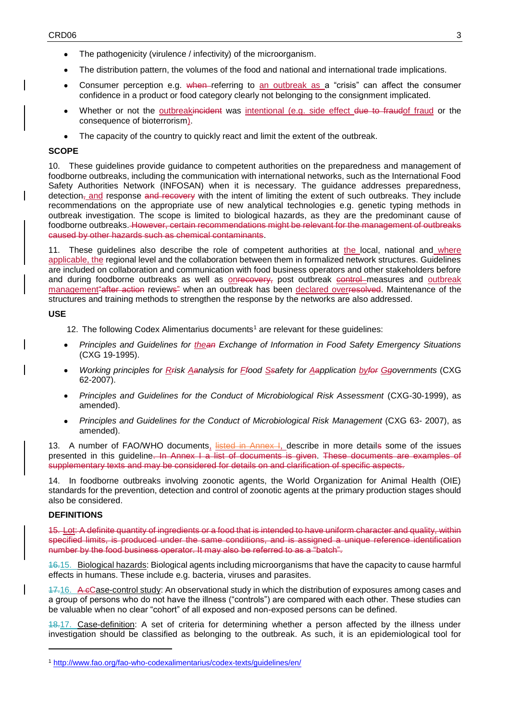- The pathogenicity (virulence / infectivity) of the microorganism.
- The distribution pattern, the volumes of the food and national and international trade implications.
- Consumer perception e.g. when referring to an outbreak as a "crisis" can affect the consumer confidence in a product or food category clearly not belonging to the consignment implicated.
- Whether or not the outbreakincident was intentional (e.g. side effect due to fraudof fraud or the consequence of bioterrorism).
- The capacity of the country to quickly react and limit the extent of the outbreak.

## **SCOPE**

10. These guidelines provide guidance to competent authorities on the preparedness and management of foodborne outbreaks, including the communication with international networks, such as the International Food Safety Authorities Network (INFOSAN) when it is necessary. The guidance addresses preparedness, detection<sub>7</sub> and response and recovery with the intent of limiting the extent of such outbreaks. They include recommendations on the appropriate use of new analytical technologies e.g. genetic typing methods in outbreak investigation. The scope is limited to biological hazards, as they are the predominant cause of foodborne outbreaks. However, certain recommendations might be relevant for the management of outbreaks caused by other hazards such as chemical contaminants.

11. These guidelines also describe the role of competent authorities at the local, national and where applicable, the regional level and the collaboration between them in formalized network structures. Guidelines are included on collaboration and communication with food business operators and other stakeholders before and during foodborne outbreaks as well as **onrecovery**, post outbreak control measures and outbreak management "after action reviews" when an outbreak has been declared overresolved. Maintenance of the structures and training methods to strengthen the response by the networks are also addressed.

# **USE**

- 12. The following Codex Alimentarius documents<sup>1</sup> are relevant for these guidelines:
- *Principles and Guidelines for thean Exchange of Information in Food Safety Emergency Situations* (CXG 19-1995).
- *Working principles for Rrisk Aanalysis for Ffood Ssafety for Aapplication byfor Ggovernments* (CXG 62-2007).
- *Principles and Guidelines for the Conduct of Microbiological Risk Assessment* (CXG-30-1999), as amended).
- *Principles and Guidelines for the Conduct of Microbiological Risk Management* (CXG 63- 2007), as amended).

13. A number of FAO/WHO documents, listed in Annex I, describe in more details some of the issues presented in this quideline. In Annex I a list of documents is given. These documents are examples of supplementary texts and may be considered for details on and clarification of specific aspects.

14. In foodborne outbreaks involving zoonotic agents, the World Organization for Animal Health (OIE) standards for the prevention, detection and control of zoonotic agents at the primary production stages should also be considered.

## **DEFINITIONS**

-

15. Lot: A definite quantity of ingredients or a food that is intended to have uniform character and quality, within specified limits, is produced under the same conditions, and is assigned a unique reference identification number by the food business operator. It may also be referred to as a "batch".

16.15. Biological hazards: Biological agents including microorganisms that have the capacity to cause harmful effects in humans. These include e.g. bacteria, viruses and parasites.

17.16. A cCase-control study: An observational study in which the distribution of exposures among cases and a group of persons who do not have the illness ("controls") are compared with each other. These studies can be valuable when no clear "cohort" of all exposed and non-exposed persons can be defined.

18.17. Case-definition: A set of criteria for determining whether a person affected by the illness under investigation should be classified as belonging to the outbreak. As such, it is an epidemiological tool for

<sup>1</sup> <http://www.fao.org/fao-who-codexalimentarius/codex-texts/guidelines/en/>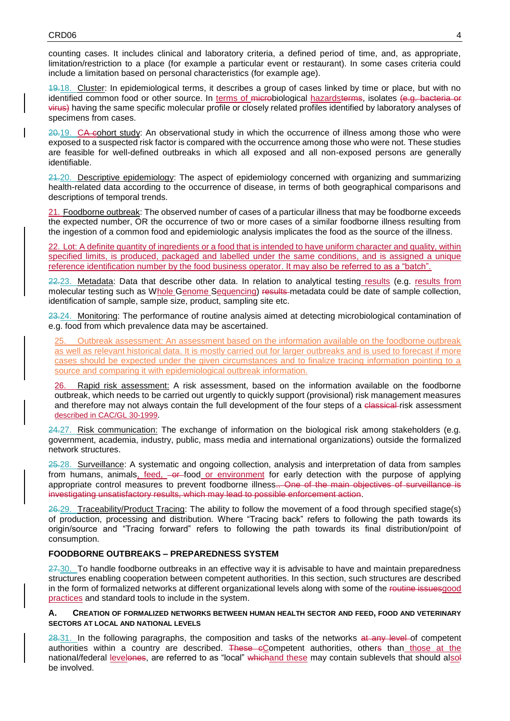counting cases. It includes clinical and laboratory criteria, a defined period of time, and, as appropriate, limitation/restriction to a place (for example a particular event or restaurant). In some cases criteria could include a limitation based on personal characteristics (for example age).

19.18. Cluster: In epidemiological terms, it describes a group of cases linked by time or place, but with no identified common food or other source. In terms of microbiological hazardsterms, isolates (e.g. bacteria or virus) having the same specific molecular profile or closely related profiles identified by laboratory analyses of specimens from cases.

20.19. CA cohort study: An observational study in which the occurrence of illness among those who were exposed to a suspected risk factor is compared with the occurrence among those who were not. These studies are feasible for well-defined outbreaks in which all exposed and all non-exposed persons are generally identifiable.

21.20. Descriptive epidemiology: The aspect of epidemiology concerned with organizing and summarizing health-related data according to the occurrence of disease, in terms of both geographical comparisons and descriptions of temporal trends.

21. Foodborne outbreak: The observed number of cases of a particular illness that may be foodborne exceeds the expected number, OR the occurrence of two or more cases of a similar foodborne illness resulting from the ingestion of a common food and epidemiologic analysis implicates the food as the source of the illness.

22. Lot: A definite quantity of ingredients or a food that is intended to have uniform character and quality, within specified limits, is produced, packaged and labelled under the same conditions, and is assigned a unique reference identification number by the food business operator. It may also be referred to as a "batch".

22.23. Metadata: Data that describe other data. In relation to analytical testing results (e.g. results from molecular testing such as Whole Genome Sequencing) results metadata could be date of sample collection, identification of sample, sample size, product, sampling site etc.

23.24. Monitoring: The performance of routine analysis aimed at detecting microbiological contamination of e.g. food from which prevalence data may be ascertained.

25. Outbreak assessment: An assessment based on the information available on the foodborne outbreak as well as relevant historical data. It is mostly carried out for larger outbreaks and is used to forecast if more cases should be expected under the given circumstances and to finalize tracing information pointing to a source and comparing it with epidemiological outbreak information.

26. Rapid risk assessment: A risk assessment, based on the information available on the foodborne outbreak, which needs to be carried out urgently to quickly support (provisional) risk management measures and therefore may not always contain the full development of the four steps of a classical-risk assessment described in CAC/GL 30-1999.

24.27. Risk communication: The exchange of information on the biological risk among stakeholders (e.g. government, academia, industry, public, mass media and international organizations) outside the formalized network structures.

25.28. Surveillance: A systematic and ongoing collection, analysis and interpretation of data from samples from humans, animals, feed,  $-\theta$ -food or environment for early detection with the purpose of applying appropriate control measures to prevent foodborne illness... One of the main objectives of surveillance is investigating unsatisfactory results, which may lead to possible enforcement action.

26.29. Traceability/Product Tracing: The ability to follow the movement of a food through specified stage(s) of production, processing and distribution. Where "Tracing back" refers to following the path towards its origin/source and "Tracing forward" refers to following the path towards its final distribution/point of consumption.

#### **FOODBORNE OUTBREAKS – PREPAREDNESS SYSTEM**

 $27.30$ . To handle foodborne outbreaks in an effective way it is advisable to have and maintain preparedness structures enabling cooperation between competent authorities. In this section, such structures are described in the form of formalized networks at different organizational levels along with some of the routine issuesgood practices and standard tools to include in the system.

#### **A. CREATION OF FORMALIZED NETWORKS BETWEEN HUMAN HEALTH SECTOR AND FEED, FOOD AND VETERINARY SECTORS AT LOCAL AND NATIONAL LEVELS**

28.31. In the following paragraphs, the composition and tasks of the networks at any level of competent authorities within a country are described. These eCompetent authorities, others than those at the national/federal levelones, are referred to as "local" whichand these may contain sublevels that should alsol be involved.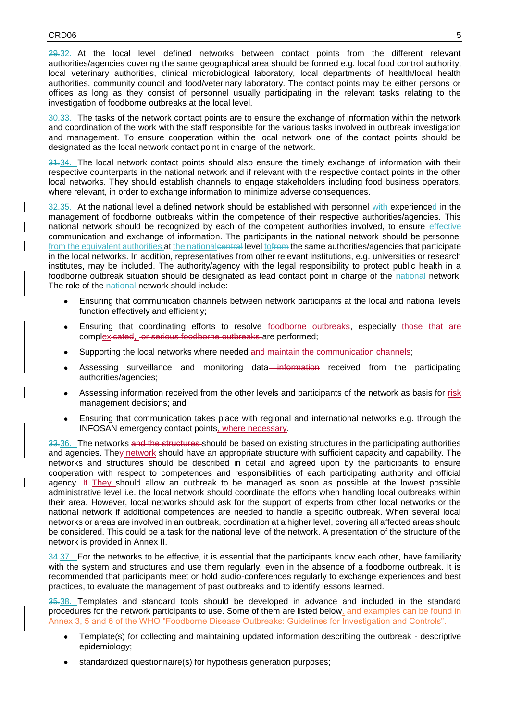$29.32$ . At the local level defined networks between contact points from the different relevant authorities/agencies covering the same geographical area should be formed e.g. local food control authority, local veterinary authorities, clinical microbiological laboratory, local departments of health/local health authorities, community council and food/veterinary laboratory. The contact points may be either persons or offices as long as they consist of personnel usually participating in the relevant tasks relating to the investigation of foodborne outbreaks at the local level.

30.33. The tasks of the network contact points are to ensure the exchange of information within the network and coordination of the work with the staff responsible for the various tasks involved in outbreak investigation and management. To ensure cooperation within the local network one of the contact points should be designated as the local network contact point in charge of the network.

34.34. The local network contact points should also ensure the timely exchange of information with their respective counterparts in the national network and if relevant with the respective contact points in the other local networks. They should establish channels to engage stakeholders including food business operators, where relevant, in order to exchange information to minimize adverse consequences.

32.35. At the national level a defined network should be established with personnel with experienced in the management of foodborne outbreaks within the competence of their respective authorities/agencies. This national network should be recognized by each of the competent authorities involved, to ensure effective communication and exchange of information. The participants in the national network should be personnel from the equivalent authorities at the nationalcentral level to from the same authorities/agencies that participate in the local networks. In addition, representatives from other relevant institutions, e.g. universities or research institutes, may be included. The authority/agency with the legal responsibility to protect public health in a foodborne outbreak situation should be designated as lead contact point in charge of the national network. The role of the national network should include:

- Ensuring that communication channels between network participants at the local and national levels function effectively and efficiently;
- Ensuring that coordinating efforts to resolve foodborne outbreaks, especially those that are complexicated, or serious foodborne outbreaks are performed;
- Supporting the local networks where needed and maintain the communication channels;
- Assessing surveillance and monitoring data—information received from the participating authorities/agencies;
- Assessing information received from the other levels and participants of the network as basis for risk management decisions; and
- Ensuring that communication takes place with regional and international networks e.g. through the INFOSAN emergency contact points, where necessary.

33.36. The networks and the structures should be based on existing structures in the participating authorities and agencies. They network should have an appropriate structure with sufficient capacity and capability. The networks and structures should be described in detail and agreed upon by the participants to ensure cooperation with respect to competences and responsibilities of each participating authority and official agency. It They should allow an outbreak to be managed as soon as possible at the lowest possible administrative level i.e. the local network should coordinate the efforts when handling local outbreaks within their are[a.](#page-14-0) However, local networks should ask for the support of experts from other local networks or the national network if additional competences are needed to handle a specific outbreak. When several local networks or areas are involved in an outbreak, coordination at a higher level, covering all affected areas should be considered. This could be a task for the national level of the network. A presentation of the structure of the network is provided in Annex II.

34.37. For the networks to be effective, it is essential that the participants know each other, have familiarity with the system and structures and use them regularly, even in the absence of a foodborne outbreak. It is recommended that participants meet or hold audio-conferences regularly to exchange experiences and best practices, to evaluate the management of past outbreaks and to identify lessons learned.

35.38. Templates and standard tools should be developed in advance and included in the standard procedures for the network participants to use. Some of them are listed below. and examples can be found in Annex 3, 5 and 6 of the WHO "Foodborne Disease Outbreaks: Guidelines for Investigation and Controls".

- Template(s) for collecting and maintaining updated information describing the outbreak descriptive epidemiology;
- standardized questionnaire(s) for hypothesis generation purposes;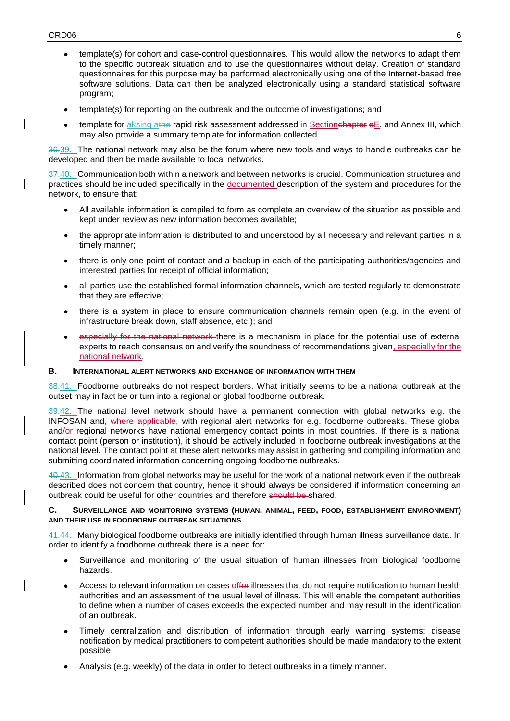- template(s) for cohort and case-control questionnaires. This would allow the networks to adapt them to the specific outbreak situation and to use the questionnaires without delay. Creation of standard questionnaires for this purpose may be performed electronically using one of the Internet-based free software solutions. Data can then be analyzed electronically using a standard statistical software program;
- template(s) for reporting on the outbreak and the outcome of investigations; and
- template for aksing athe rapid risk assessment addressed in Sectionenapter eE. and Annex III, which may also provide a summary template for information collected.

36.39. The national network may also be the forum where new tools and ways to handle outbreaks can be developed and then be made available to local networks.

37.40. Communication both within a network and between networks is crucial. Communication structures and practices should be included specifically in the documented description of the system and procedures for the network, to ensure that:

- All available information is compiled to form as complete an overview of the situation as possible and kept under review as new information becomes available;
- the appropriate information is distributed to and understood by all necessary and relevant parties in a timely manner;
- there is only one point of contact and a backup in each of the participating authorities/agencies and interested parties for receipt of official information;
- all parties use the established formal information channels, which are tested regularly to demonstrate that they are effective;
- there is a system in place to ensure communication channels remain open (e.g. in the event of infrastructure break down, staff absence, etc.); and
- especially for the national network there is a mechanism in place for the potential use of external experts to reach consensus on and verify the soundness of recommendations given, especially for the national network.

## **B. INTERNATIONAL ALERT NETWORKS AND EXCHANGE OF INFORMATION WITH THEM**

38.41. Foodborne outbreaks do not respect borders. What initially seems to be a national outbreak at the outset may in fact be or turn into a regional or global foodborne outbreak.

39.42. The national level network should have a permanent connection with global networks e.g. the INFOSAN and, where applicable, with regional alert networks for e.g. foodborne outbreaks. These global and/or regional networks have national emergency contact points in most countries. If there is a national contact point (person or institution), it should be actively included in foodborne outbreak investigations at the national level. The contact point at these alert networks may assist in gathering and compiling information and submitting coordinated information concerning ongoing foodborne outbreaks.

40.43. Information from global networks may be useful for the work of a national network even if the outbreak described does not concern that country, hence it should always be considered if information concerning an outbreak could be useful for other countries and therefore should be shared.

#### **C. SURVEILLANCE AND MONITORING SYSTEMS (HUMAN, ANIMAL, FEED, FOOD, ESTABLISHMENT ENVIRONMENT) AND THEIR USE IN FOODBORNE OUTBREAK SITUATIONS**

41.44. Many biological foodborne outbreaks are initially identified through human illness surveillance data. In order to identify a foodborne outbreak there is a need for:

- Surveillance and monitoring of the usual situation of human illnesses from biological foodborne hazards.
- Access to relevant information on cases offer illnesses that do not require notification to human health authorities and an assessment of the usual level of illness. This will enable the competent authorities to define when a number of cases exceeds the expected number and may result in the identification of an outbreak.
- Timely centralization and distribution of information through early warning systems; disease notification by medical practitioners to competent authorities should be made mandatory to the extent possible.
- Analysis (e.g. weekly) of the data in order to detect outbreaks in a timely manner.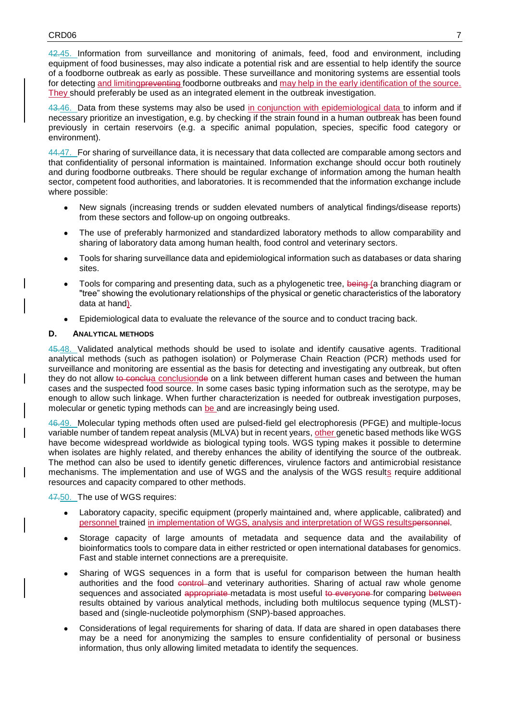42.45. Information from surveillance and monitoring of animals, feed, food and environment, including equipment of food businesses, may also indicate a potential risk and are essential to help identify the source of a foodborne outbreak as early as possible. These surveillance and monitoring systems are essential tools for detecting and limitingpreventing foodborne outbreaks and may help in the early identification of the source. They should preferably be used as an integrated element in the outbreak investigation.

43.46. Data from these systems may also be used in conjunction with epidemiological data to inform and if necessary prioritize an investigation, e.g. by checking if the strain found in a human outbreak has been found previously in certain reservoirs (e.g. a specific animal population, species, specific food category or environment).

44.47. For sharing of surveillance data, it is necessary that data collected are comparable among sectors and that confidentiality of personal information is maintained. Information exchange should occur both routinely and during foodborne outbreaks. There should be regular exchange of information among the human health sector, competent food authorities, and laboratories. It is recommended that the information exchange include where possible:

- New signals (increasing trends or sudden elevated numbers of analytical findings/disease reports) from these sectors and follow-up on ongoing outbreaks.
- The use of preferably harmonized and standardized laboratory methods to allow comparability and sharing of laboratory data among human health, food control and veterinary sectors.
- Tools for sharing surveillance data and epidemiological information such as databases or data sharing sites.
- Tools for comparing and presenting data, such as a phylogenetic tree, being (a branching diagram or "tree" showing the evolutionary relationships of the physical or genetic characteristics of the laboratory data at hand).
- Epidemiological data to evaluate the relevance of the source and to conduct tracing back.

#### **D. ANALYTICAL METHODS**

45.48. Validated analytical methods should be used to isolate and identify causative agents. Traditional analytical methods (such as pathogen isolation) or Polymerase Chain Reaction (PCR) methods used for surveillance and monitoring are essential as the basis for detecting and investigating any outbreak, but often they do not allow to conclusionde on a link between different human cases and between the human cases and the suspected food source. In some cases basic typing information such as the serotype, may be enough to allow such linkage. When further characterization is needed for outbreak investigation purposes, molecular or genetic typing methods can be and are increasingly being used.

46.49. Molecular typing methods often used are pulsed-field gel electrophoresis (PFGE) and multiple-locus variable number of tandem repeat analysis (MLVA) but in recent years, other genetic based methods like WGS have become widespread worldwide as biological typing tools. WGS typing makes it possible to determine when isolates are highly related, and thereby enhances the ability of identifying the source of the outbreak. The method can also be used to identify genetic differences, virulence factors and antimicrobial resistance mechanisms. The implementation and use of WGS and the analysis of the WGS results require additional resources and capacity compared to other methods.

47.50. The use of WGS requires:

- Laboratory capacity, specific equipment (properly maintained and, where applicable, calibrated) and personnel trained in implementation of WGS, analysis and interpretation of WGS resultspersonnel.
- Storage capacity of large amounts of metadata and sequence data and the availability of bioinformatics tools to compare data in either restricted or open international databases for genomics. Fast and stable internet connections are a prerequisite.
- Sharing of WGS sequences in a form that is useful for comparison between the human health authorities and the food control and veterinary authorities. Sharing of actual raw whole genome sequences and associated appropriate metadata is most useful to everyone for comparing between results obtained by various analytical methods, including both multilocus sequence typing (MLST) based and (single-nucleotide polymorphism (SNP)-based approaches.
- Considerations of legal requirements for sharing of data. If data are shared in open databases there may be a need for anonymizing the samples to ensure confidentiality of personal or business information, thus only allowing limited metadata to identify the sequences.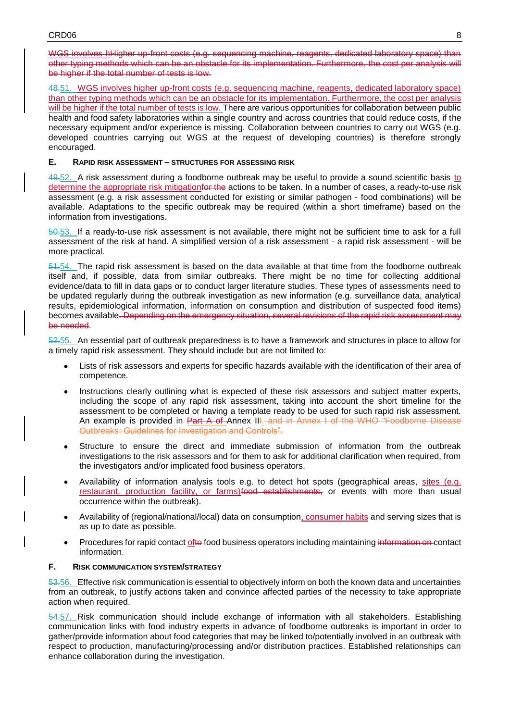WGS involves hHigher up-front costs (e.g. sequencing machine, reagents, dedicated laboratory space) than other typing methods which can be an obstacle for its implementation. Furthermore, the cost per analysis will be higher if the total number of tests is low.

48.51. WGS involves higher up-front costs (e.g. sequencing machine, reagents, dedicated laboratory space) than other typing methods which can be an obstacle for its implementation. Furthermore, the cost per analysis will be higher if the total number of tests is low. There are various opportunities for collaboration between public health and food safety laboratories within a single country and across countries that could reduce costs, if the necessary equipment and/or experience is missing. Collaboration between countries to carry out WGS (e.g. developed countries carrying out WGS at the request of developing countries) is therefore strongly encouraged.

#### **E. RAPID RISK ASSESSMENT – STRUCTURES FOR ASSESSING RISK**

49.52. A risk assessment during a foodborne outbreak may be useful to provide a sound scientific basis to determine the appropriate risk mitigation<del>for the</del> actions to be taken. In a number of cases, a ready-to-use risk assessment (e.g. a risk assessment conducted for existing or similar pathogen - food combinations) will be available. Adaptations to the specific outbreak may be required (within a short timeframe) based on the information from investigations.

50.53. If a ready-to-use risk assessment is not available, there might not be sufficient time to ask for a full assessment of the risk at hand. A simplified version of a risk assessment - a rapid risk assessment - will be more practical.

51.54. The rapid risk assessment is based on the data available at that time from the foodborne outbreak itself and, if possible, data from similar outbreaks. There might be no time for collecting additional evidence/data to fill in data gaps or to conduct larger literature studies. These types of assessments need to be updated regularly during the outbreak investigation as new information (e.g. surveillance data, analytical results, epidemiological information, information on consumption and distribution of suspected food items) becomes available. Depending on the emergency situation, several revisions of the rapid risk assessment may be needed.

52.55. An essential part of outbreak preparedness is to have a framework and structures in place to allow for a timely rapid risk assessment. They should include but are not limited to:

- Lists of risk assessors and experts for specific hazards available with the identification of their area of competence.
- Instructions clearly outlining what is expected of these risk assessors and subject matter experts, including the scope of any rapid risk assessment, taking into account the short timeline for the assessment to be completed or having a template ready to be used for such rapid risk assessment. An example is provided in Part A of Annex III. and in Annex I of the WHO "Foodborne Disease Outbreaks: Guidelines for Investigation and Controls".
- Structure to ensure the direct and immediate submission of information from the outbreak investigations to the risk assessors and for them to ask for additional clarification when required, from the investigators and/or implicated food business operators.
- Availability of information analysis tools e.g. to detect hot spots (geographical areas, sites (e.g. restaurant, production facility, or farms) food establishments, or events with more than usual occurrence within the outbreak).
- Availability of (regional/national/local) data on consumption, consumer habits and serving sizes that is as up to date as possible.
- Procedures for rapid contact ofto food business operators including maintaining information on contact information.

## **F. RISK COMMUNICATION SYSTEM/STRATEGY**

53.56. Effective risk communication is essential to objectively inform on both the known data and uncertainties from an outbreak, to justify actions taken and convince affected parties of the necessity to take appropriate action when required.

54.57. Risk communication should include exchange of information with all stakeholders. Establishing communication links with food industry experts in advance of foodborne outbreaks is important in order to gather/provide information about food categories that may be linked to/potentially involved in an outbreak with respect to production, manufacturing/processing and/or distribution practices. Established relationships can enhance collaboration during the investigation.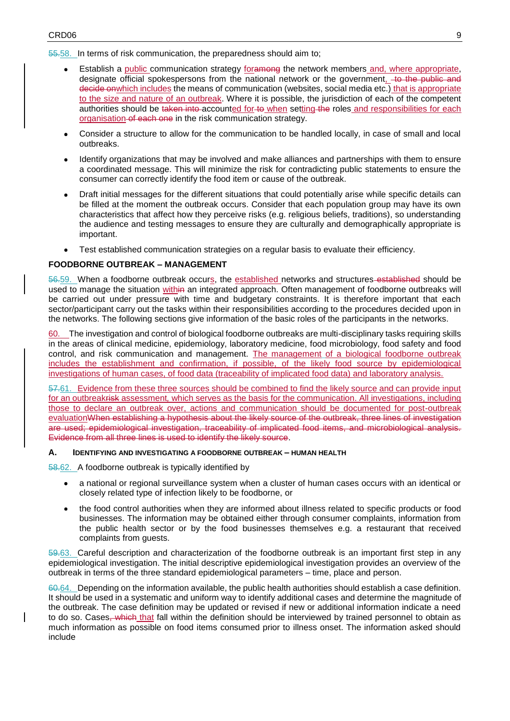55.58. In terms of risk communication, the preparedness should aim to;

- Establish a public communication strategy foramong the network members and, where appropriate, designate official spokespersons from the national network or the government, to the public and decide onwhich includes the means of communication (websites, social media etc.) that is appropriate to the size and nature of an outbreak. Where it is possible, the jurisdiction of each of the competent authorities should be taken into accounted for to when setting the roles and responsibilities for each organisation of each one in the risk communication strategy.
- Consider a structure to allow for the communication to be handled locally, in case of small and local outbreaks.
- Identify organizations that may be involved and make alliances and partnerships with them to ensure a coordinated message. This will minimize the risk for contradicting public statements to ensure the consumer can correctly identify the food item or cause of the outbreak.
- Draft initial messages for the different situations that could potentially arise while specific details can be filled at the moment the outbreak occurs. Consider that each population group may have its own characteristics that affect how they perceive risks (e.g. religious beliefs, traditions), so understanding the audience and testing messages to ensure they are culturally and demographically appropriate is important.
- Test established communication strategies on a regular basis to evaluate their efficiency.

## **FOODBORNE OUTBREAK – MANAGEMENT**

56.59. When a foodborne outbreak occurs, the established networks and structures established should be used to manage the situation within an integrated approach. Often management of foodborne outbreaks will be carried out under pressure with time and budgetary constraints. It is therefore important that each sector/participant carry out the tasks within their responsibilities according to the procedures decided upon in the networks. The following sections give information of the basic roles of the participants in the networks.

The investigation and control of biological foodborne outbreaks are multi-disciplinary tasks requiring skills in the areas of clinical medicine, epidemiology, laboratory medicine, food microbiology, food safety and food control, and risk communication and management. The management of a biological foodborne outbreak includes the establishment and confirmation, if possible, of the likely food source by epidemiological investigations of human cases, of food data (traceability of implicated food data) and laboratory analysis.

57.61. Evidence from these three sources should be combined to find the likely source and can provide input for an outbreakrisk assessment*,* which serves as the basis for the communication. All investigations, including those to declare an outbreak over, actions and communication should be documented for post-outbreak evaluationWhen establishing a hypothesis about the likely source of the outbreak, three lines of investigation are used; epidemiological investigation, traceability of implicated food items, and microbiological analysis. Evidence from all three lines is used to identify the likely source.

#### **A. IDENTIFYING AND INVESTIGATING A FOODBORNE OUTBREAK – HUMAN HEALTH**

58.62. A foodborne outbreak is typically identified by

- a national or regional surveillance system when a cluster of human cases occurs with an identical or closely related type of infection likely to be foodborne, or
- the food control authorities when they are informed about illness related to specific products or food businesses. The information may be obtained either through consumer complaints, information from the public health sector or by the food businesses themselves e.g. a restaurant that received complaints from guests.

59.63. Careful description and characterization of the foodborne outbreak is an important first step in any epidemiological investigation. The initial descriptive epidemiological investigation provides an overview of the outbreak in terms of the three standard epidemiological parameters – time, place and person.

60.64. Depending on the information available, the public health authorities should establish a case definition. It should be used in a systematic and uniform way to identify additional cases and determine the magnitude of the outbreak. The case definition may be updated or revised if new or additional information indicate a need to do so. Cases, which that fall within the definition should be interviewed by trained personnel to obtain as much information as possible on food items consumed prior to illness onset. The information asked should include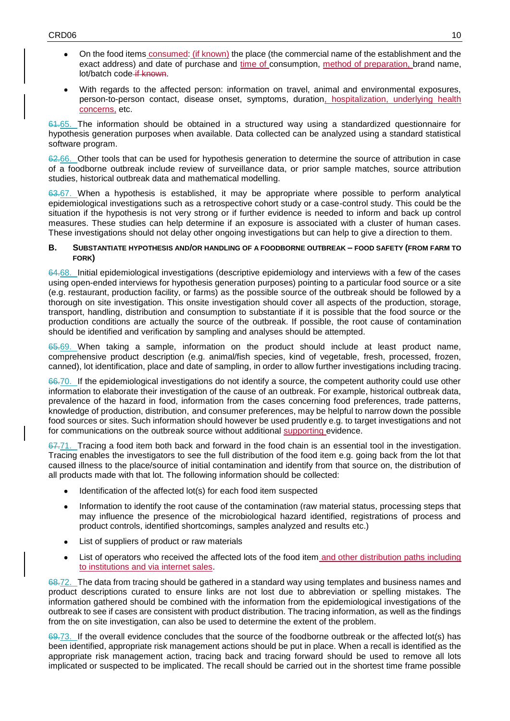- On the food items consumed: (if known) the place (the commercial name of the establishment and the exact address) and date of purchase and time of consumption, method of preparation, brand name, lot/batch code if known.
- With regards to the affected person: information on travel, animal and environmental exposures, person-to-person contact, disease onset, symptoms, duration, hospitalization, underlying health concerns, etc.

61.65. The information should be obtained in a structured way using a standardized questionnaire for hypothesis generation purposes when available. Data collected can be analyzed using a standard statistical software program.

62.66. Other tools that can be used for hypothesis generation to determine the source of attribution in case of a foodborne outbreak include review of surveillance data, or prior sample matches, source attribution studies, historical outbreak data and mathematical modelling.

63.67. When a hypothesis is established, it may be appropriate where possible to perform analytical epidemiological investigations such as a retrospective cohort study or a case-control study. This could be the situation if the hypothesis is not very strong or if further evidence is needed to inform and back up control measures. These studies can help determine if an exposure is associated with a cluster of human cases. These investigations should not delay other ongoing investigations but can help to give a direction to them.

#### **B. SUBSTANTIATE HYPOTHESIS AND/OR HANDLING OF A FOODBORNE OUTBREAK – FOOD SAFETY (FROM FARM TO FORK)**

64.68. Initial epidemiological investigations (descriptive epidemiology and interviews with a few of the cases using open-ended interviews for hypothesis generation purposes) pointing to a particular food source or a site (e.g. restaurant, production facility, or farms) as the possible source of the outbreak should be followed by a thorough on site investigation. This onsite investigation should cover all aspects of the production, storage, transport, handling, distribution and consumption to substantiate if it is possible that the food source or the production conditions are actually the source of the outbreak. If possible, the root cause of contamination should be identified and verification by sampling and analyses should be attempted.

65.69. When taking a sample, information on the product should include at least product name, comprehensive product description (e.g. animal/fish species, kind of vegetable, fresh, processed, frozen, canned), lot identification, place and date of sampling, in order to allow further investigations including tracing.

66.70. If the epidemiological investigations do not identify a source, the competent authority could use other information to elaborate their investigation of the cause of an outbreak. For example, historical outbreak data, prevalence of the hazard in food, information from the cases concerning food preferences, trade patterns, knowledge of production, distribution, and consumer preferences, may be helpful to narrow down the possible food sources or sites. Such information should however be used prudently e.g. to target investigations and not for communications on the outbreak source without additional supporting evidence.

67.71. Tracing a food item both back and forward in the food chain is an essential tool in the investigation. Tracing enables the investigators to see the full distribution of the food item e.g. going back from the lot that caused illness to the place/source of initial contamination and identify from that source on, the distribution of all products made with that lot. The following information should be collected:

- Identification of the affected lot(s) for each food item suspected
- Information to identify the root cause of the contamination (raw material status, processing steps that may influence the presence of the microbiological hazard identified, registrations of process and product controls, identified shortcomings, samples analyzed and results etc.)
- List of suppliers of product or raw materials
- List of operators who received the affected lots of the food item and other distribution paths including to institutions and via internet sales.

68.72. The data from tracing should be gathered in a standard way using templates and business names and product descriptions curated to ensure links are not lost due to abbreviation or spelling mistakes. The information gathered should be combined with the information from the epidemiological investigations of the outbreak to see if cases are consistent with product distribution. The tracing information, as well as the findings from the on site investigation, can also be used to determine the extent of the problem.

69.73. If the overall evidence concludes that the source of the foodborne outbreak or the affected lot(s) has been identified, appropriate risk management actions should be put in place. When a recall is identified as the appropriate risk management action, tracing back and tracing forwar[d](#page-14-1) should be used to remove all lots implicated or suspected to be implicated. The recall should be carried out in the shortest time frame possible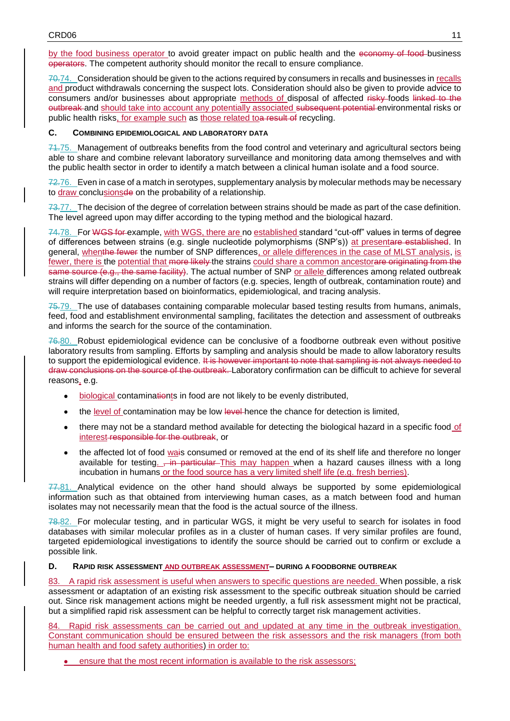by the food business operator to avoid greater impact on public health and the economy of food business operators. The competent authority should monitor the recall to ensure compliance.

70.74. Consideration should be given to the actions required by consumers in recalls and businesses in recalls and product withdrawals concerning the suspect lots. Consideration should also be given to provide advice to consumers and/or businesses about appropriate methods of disposal of affected risky foods linked to the outbreak and should take into account any potentially associated subsequent potential environmental risks or public health risks, for example such as those related toa result of recycling.

#### **C. COMBINING EPIDEMIOLOGICAL AND LABORATORY DATA**

71.75. Management of outbreaks benefits from the food control and veterinary and agricultural sectors being able to share and combine relevant laboratory surveillance and monitoring data among themselves and with the public health sector in order to identify a match between a clinical human isolate and a food source.

 $72.76.$  Even in case of a match in serotypes, supplementary analysis by molecular methods may be necessary to draw conclusionsde on the probability of a relationship.

73.77. The decision of the degree of correlation between strains should be made as part of the case definition. The level agreed upon may differ according to the typing method and the biological hazard.

74.78. For WGS for example, with WGS, there are no established standard "cut-off" values in terms of degree of differences between strains (e.g. single nucleotide polymorphisms (SNP's)) at presentare established. In general, whenthe fewer the number of SNP differences, or allele differences in the case of MLST analysis, is fewer, there is the potential that more likely the strains could share a common ancestorare originating from the same source (e.g., the same facility). The actual number of SNP or allele differences among related outbreak strains will differ depending on a number of factors (e.g. species, length of outbreak, contamination route) and will require interpretation based on bioinformatics, epidemiological, and tracing analysis.

75.79. The use of databases containing comparable molecular based testing results from humans, animals, feed, food and establishment environmental sampling, facilitates the detection and assessment of outbreaks and informs the search for the source of the contamination.

76.80. Robust epidemiological evidence can be conclusive of a foodborne outbreak even without positive laboratory results from sampling. Efforts by sampling and analysis should be made to allow laboratory results to support the epidemiological evidence. It is however important to note that sampling is not always needed to draw conclusions on the source of the outbreak. Laboratory confirmation can be difficult to achieve for several reasons, e.g.

- biological contaminationts in food are not likely to be evenly distributed,
- the level of contamination may be low level hence the chance for detection is limited.
- there may not be a standard method available for detecting the biological hazard in a specific food of interest responsible for the outbreak, or
- the affected lot of food wais consumed or removed at the end of its shelf life and therefore no longer available for testing.  $\frac{1}{2}$  in particular This may happen when a hazard causes illness with a long incubation in humans or the food source has a very limited shelf life (e.g. fresh berries).

77.81. Analytical evidence on the other hand should always be supported by some epidemiological information such as that obtained from interviewing human cases, as a match between food and human isolates may not necessarily mean that the food is the actual source of the illness.

78.82. For molecular testing, and in particular WGS, it might be very useful to search for isolates in food databases with similar molecular profiles as in a cluster of human cases. If very similar profiles are found, targeted epidemiological investigations to identify the source should be carried out to confirm or exclude a possible link.

## **D. RAPID RISK ASSESSMENT AND OUTBREAK ASSESSMENT– DURING A FOODBORNE OUTBREAK**

83. A rapid risk assessment is useful when answers to specific questions are needed. When possible, a risk assessment or adaptation of an existing risk assessment to the specific outbreak situation should be carried out. Since risk management actions might be needed urgently, a full risk assessment might not be practical, but a simplified rapid risk assessment can be helpful to correctly target risk management activities.

84. Rapid risk assessments can be carried out and updated at any time in the outbreak investigation. Constant communication should be ensured between the risk assessors and the risk managers (from both human health and food safety authorities) in order to:

ensure that the most recent information is available to the risk assessors;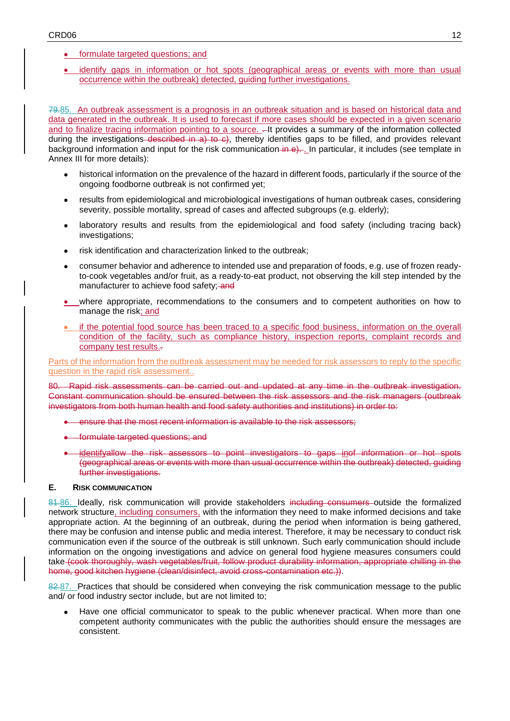## • formulate targeted questions; and

 identify gaps in information or hot spots (geographical areas or events with more than usual occurrence within the outbreak) detected, guiding further investigations.

79.85. An outbreak assessment is a prognosis in an outbreak situation and is based on historical data and data generated in the outbreak. It is used to forecast if more cases should be expected in a given scenario and to finalize tracing information pointing to a source. .- It provides a summary of the information collected during the investigations described in a) to  $\epsilon$ ), thereby identifies gaps to be filled, and provides relevant background information and input for the risk communication in  $\theta$ . In particular, it includes (see template in Annex III for more details):

- historical information on the prevalence of the hazard in different foods, particularly if the source of the ongoing foodborne outbreak is not confirmed yet;
- results from epidemiological and microbiological investigations of human outbreak cases, considering severity, possible mortality, spread of cases and affected subgroups (e.g. elderly);
- laboratory results and results from the epidemiological and food safety (including tracing back) investigations;
- risk identification and characterization linked to the outbreak:
- consumer behavior and adherence to intended use and preparation of foods, e.g. use of frozen readyto-cook vegetables and/or fruit, as a ready-to-eat product, not observing the kill step intended by the manufacturer to achieve food safety; and
- where appropriate, recommendations to the consumers and to competent authorities on how to manage the risk; and
- if the potential food source has been traced to a specific food business, information on the overall condition of the facility, such as compliance history, inspection reports, complaint records and company test results..

Parts of the information from the outbreak assessment may be needed for risk assessors to reply to the specific question in the rapid risk assessment..

80. Rapid risk assessments can be carried out and updated at any time in the outbreak investigation. Constant communication should be ensured between the risk assessors and the risk managers (outbreak investigators from both human health and food safety authorities and institutions) in order to:

- ensure that the most recent information is available to the risk assessors;
- formulate targeted questions; and
- identifyallow the risk assessors to point investigators to gaps inof information or hot spots (geographical areas or events with more than usual occurrence within the outbreak) detected, guiding further investigations.

#### **E. RISK COMMUNICATION**

81.86. Ideally, risk communication will provide stakeholders including consumers outside the formalized network structure, including consumers, with the information they need to make informed decisions and take appropriate action. At the beginning of an outbreak, during the period when information is being gathered, there may be confusion and intense public and media interest. Therefore, it may be necessary to conduct risk communication even if the source of the outbreak is still unknown. Such early communication should include information on the ongoing investigations and advice on general food hygiene measures consumers could take (cook thoroughly, wash vegetables/fruit, follow product durability information, appropriate chilling in the home, good kitchen hygiene (clean/disinfect, avoid cross-contamination etc.)).

82.87. Practices that should be considered when conveying the risk communication message to the public and/ or food industry sector include, but are not limited t[o;](#page-14-2)

 Have one official communicator to speak to the public whenever practical. When more than one competent authority communicates with the public the authorities should ensure the messages are consistent.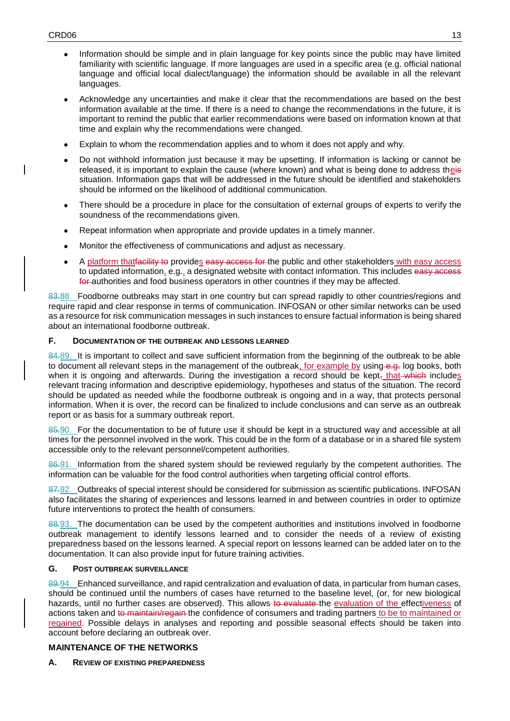- Information should be simple and in plain language for key points since the public may have limited familiarity with scientific language. If more languages are used in a specific area (e.g. official national language and official local dialect/language) the information should be available in all the relevant languages.
- Acknowledge any uncertainties and make it clear that the recommendations are based on the best information available at the time. If there is a need to change the recommendations in the future, it is important to remind the public that earlier recommendations were based on information known at that time and explain why the recommendations were changed.
- Explain to whom the recommendation applies and to whom it does not apply and why.
- Do not withhold information just because it may be upsetting. If information is lacking or cannot be released, it is important to explain the cause (where known) and what is being done to address theis situation. Information gaps that will be addressed in the future should be identified and stakeholders should be informed on the likelihood of additional communication.
- There should be a procedure in place for the consultation of external groups of experts to verify the soundness of the recommendations given.
- Repeat information when appropriate and provide updates in a timely manner.
- Monitor the effectiveness of communications and adjust as necessary.
- A platform that facility to provides easy access for the public and other stakeholders with easy access to updated information, e.g., a designated website with contact information. This includes easy access for authorities and food business operators in other countries if they may be affected.

83.88. Foodborne outbreaks may start in one country but can spread rapidly to other countries/regions and require rapid and clear response in terms of communication. INFOSAN or other similar networks can be used as a resource for risk communication messages in such instances to ensure factual information is being shared about an international foodborne outbreak.

# **F. DOCUMENTATION OF THE OUTBREAK AND LESSONS LEARNED**

84.89. It is important to collect and save sufficient information from the beginning of the outbreak to be able to document all relevant steps in the management of the outbreak, for example by using e.g. log books, both when it is ongoing and afterwards. During the investigation a record should be kept, that which includes relevant tracing information and descriptive epidemiology, hypotheses and status of the situation. The record should be updated as needed while the foodborne outbreak is ongoing and in a way, that protects personal information. When it is over, the record can be finalized to include conclusions and can serve as an outbreak report or as basis for a summary outbreak repo[rt.](#page-14-3)

85.90. For the documentation to be of future use it should be kept in a structured way and accessible at all times for the personnel involved in the work. This could be in the form of a database or in a shared file system accessible only to the relevant personnel/competent authorities.

86.91. Information from the shared system should be reviewed regularly by the competent authorities. The information can be valuable for the food control authorities when targeting official control efforts.

87.92. Outbreaks of special interest should be considered for submission as scientific publications. INFOSAN also facilitates the sharing of experiences and lessons learned in and between countries in order to optimize future interventions to protect the health of consumers.

88.93. The documentation can be used by the competent authorities and institutions involved in foodborne outbreak management to identify lessons learned and to consider the needs of a review of existing preparedness based on the lessons learned. A special report on lessons learned can be added later on to the documentation. It can also provide input for future training activities.

## **G. POST OUTBREAK SURVEILLANCE**

89.94. Enhanced surveillance, and rapid centralization and evaluation of data, in particular from human cases, should be continued until the numbers of cases have returned to the baseline level, (or, for new biological hazards, until no further cases are observed). This allows to evaluate the evaluation of the effectiveness of actions taken and to maintain/regain the confidence of consumers and trading partners to be to maintained or regained. Possible delays in analyses and reporting and possible seasonal effects should be taken into account before declaring an outbreak over.

# **MAINTENANCE OF THE NETWORKS**

**A. REVIEW OF EXISTING PREPAREDNESS**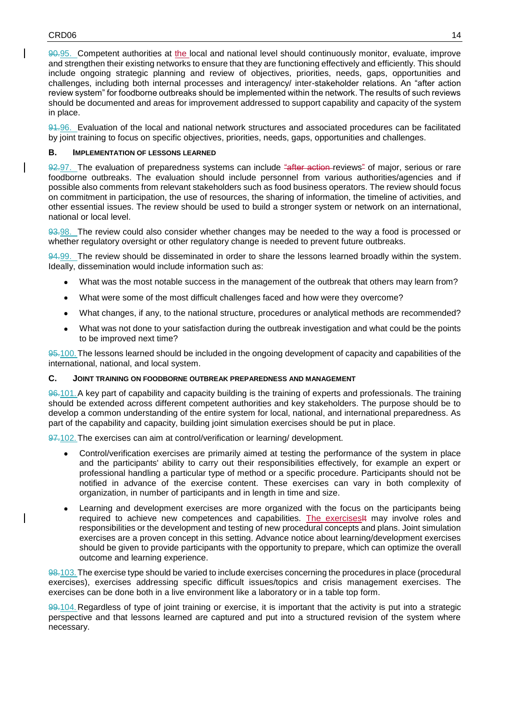90.95. Competent authorities at the local and national level should continuously monitor, evaluate, improve and strengthen their existing networks to ensure that they are functioning effectively and efficiently. This should include ongoing strategic planning and review of objectives, priorities, needs, gaps, opportunities and challenges, including both internal processes and interagency/ inter-stakeholder relations. An "after action review system" for foodborne outbreaks should be implemented within the network. The results of such reviews should be documented and areas for improvement addressed to support capability and capacity of the system in place.

91.96. Evaluation of the local and national network structures and associated procedures can be facilitated by joint training to focus on specific objectives, priorities, needs, gaps, opportunities and challenges.

#### **B. IMPLEMENTATION OF LESSONS LEARNED**

92.97. The evaluation of preparedness systems can include "after action-reviews" of major, serious or rare foodborne outbreaks. The evaluation should include personnel from various authorities/agencies and if possible also comments from relevant stakeholders such as food business operators. The review should focus on commitment in participation, the use of resources, the sharing of information, the timeline of activities, and other essential issues. The review should be used to build a stronger system or network on an international, national or local level.

93.98. The review could also consider whether changes may be needed to the way a food is processed or whether regulatory oversight or other regulatory change is needed to prevent future outbreaks.

94.99. The review should be disseminated in order to share the lessons learned broadly within the system. Ideally, dissemination would include information such as:

- What was the most notable success in the management of the outbreak that others may learn from?
- What were some of the most difficult challenges faced and how were they overcome?
- What changes, if any, to the national structure, procedures or analytical methods are recommended?
- What was not done to your satisfaction during the outbreak investigation and what could be the points to be improved next time?

95.100. The lessons learned should be included in the ongoing development of capacity and capabilities of the international, national, and local system.

#### **C. JOINT TRAINING ON FOODBORNE OUTBREAK PREPAREDNESS AND MANAGEMENT**

96.101.A key part of capability and capacity building is the training of experts and professionals. The training should be extended across different competent authorities and key stakeholders. The purpose should be to develop a common understanding of the entire system for local, national, and international preparedness. As part of the capability and capacity, building joint simulation exercises should be put in place.

97.102. The exercises can aim at control/verification or learning/ development.

- Control/verification exercises are primarily aimed at testing the performance of the system in place and the participants' ability to carry out their responsibilities effectively, for example an expert or professional handling a particular type of method or a specific procedure. Participants should not be notified in advance of the exercise content. These exercises can vary in both complexity of organization, in number of participants and in length in time and size.
- Learning and development exercises are more organized with the focus on the participants being required to achieve new competences and capabilities. The exercises<sup>14</sup> may involve roles and responsibilities or the development and testing of new procedural concepts and plans. Joint simulation exercises are a proven concept in this setting. Advance notice about learning/development exercises should be given to provide participants with the opportunity to prepare, which can optimize the overall outcome and learning experience.

98.103.The exercise type should be varied to include exercises concerning the procedures in place (procedural exercises), exercises addressing specific difficult issues/topics and crisis management exercises. The exercises can be done both in a live environment like a laboratory or in a table top form.

99.104.Regardless of type of joint training or exercise, it is important that the activity is put into a strategic perspective and that lessons learned are captured and put into a structured revision of the system where necessary.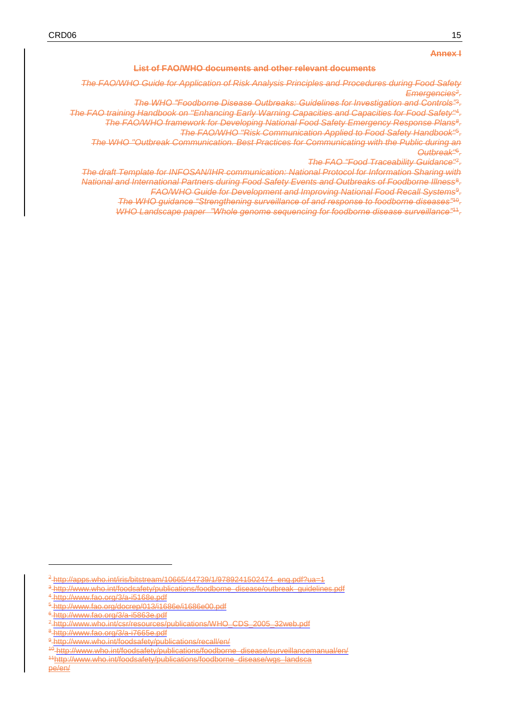#### **Annex I**

#### **List of FAO/WHO documents and other relevant documents**

*The FAO/WHO Guide for Application of Risk Analysis Principles and Procedures during Food Safety Emergencies<sup>2</sup> .*

*The WHO "Foodborne Disease Outbreaks: Guidelines for Investigation and Controls"*<sup>3</sup> *.*

<span id="page-14-3"></span><span id="page-14-2"></span><span id="page-14-0"></span>*The FAO training Handbook on "Enhancing Early Warning Capacities and Capacities for Food Safety"*<sup>4</sup> *. The FAO/WHO framework for Developing National Food Safety Emergency Response Plans<sup>8</sup> .*

*The FAO/WHO "Risk Communication Applied to Food Safety Handbook"*<sup>5</sup> *.*

*The WHO "Outbreak Communication. Best Practices for Communicating with the Public during an Outbreak"*<sup>6</sup> *.*

*The FAO "Food Traceability Guidance"*<sup>7</sup> *.*

<span id="page-14-1"></span>*The draft Template for INFOSAN/IHR communication: National Protocol for Information Sharing with National and International Partners during Food Safety Events and Outbreaks of Foodborne Illness*<sup>8</sup> *. FAO/WHO Guide for Development and Improving National Food Recall Systems*<sup>9</sup> *.*

*The WHO guidance "Strengthening surveillance of and response to foodborne diseases"*<sup>10</sup> *.*

*WHO Landscape paper "Whole genome sequencing for foodborne disease surveillance"*<sup>11</sup> *.*

1

 $2\frac{1}{2}$ http://apps.who.int/iris/bitstream/10665/44739/1/9789241502474\_eng.pdf?ua=1

<sup>3</sup> http://www.who.int/foodsafety/publications/foodborne\_disease/outbreak\_guidelines.pdf

<sup>4</sup> http://www.fao.org/3/a-i5168e.pdf

<sup>5</sup> http://www.fao.org/docrep/013/i1686e/i1686e00.pdf

<sup>6</sup> http://www.fao.org/3/a-i5863e.pdf

<sup>7</sup> http://www.who.int/csr/resources/publications/WHO\_CDS\_2005\_32web.pdf

<sup>8</sup> http://www.fao.org/3/a-i7665e.pdf

<sup>9</sup> http://www.who.int/foodsafety/publications/recall/en/

<sup>10</sup> http://www.who.int/foodsafety/publications/foodborne\_disease/surveillancemanual/en/

<sup>11</sup>http://www.who.int/foodsafety/publications/foodborne\_disease/wgs\_landsca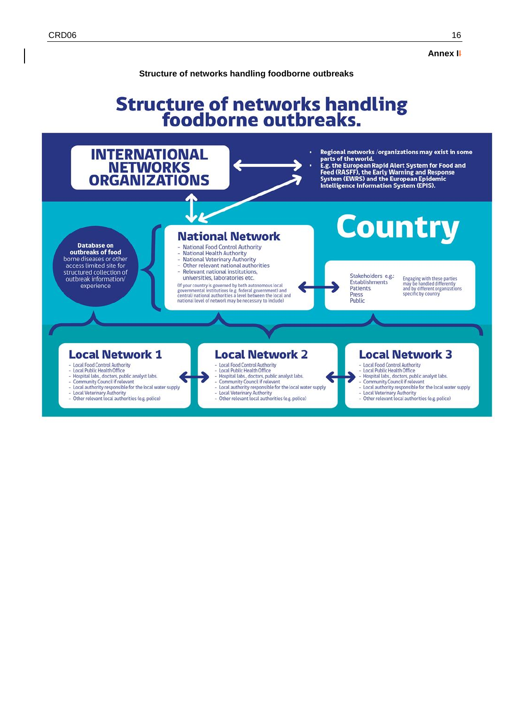**Annex II**

#### **Structure of networks handling foodborne outbreaks**

# Structure of networks handling<br>foodborne outbreaks.



- Local Veterinary Authority<br>- Other relevant local authorities (e.g. police)
- 
- Other relevant local authorities (e.g. police)
- Local Veterinary Authority<br>Other relevant local authorities (e.g. police)
-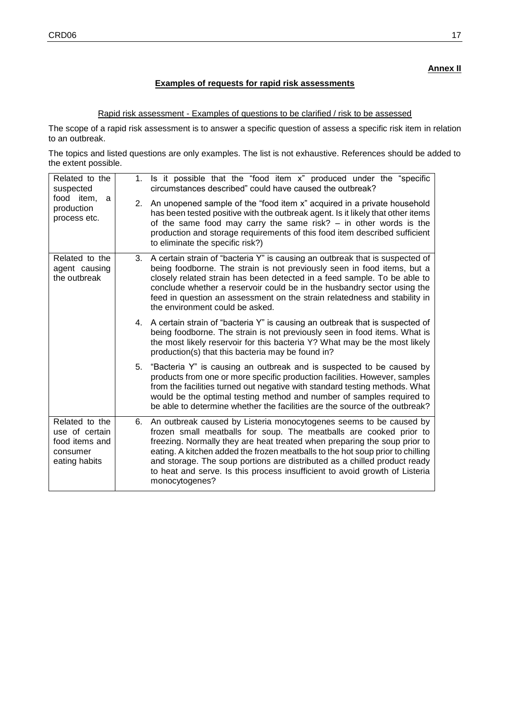## **Examples of requests for rapid risk assessments**

## Rapid risk assessment - Examples of questions to be clarified / risk to be assessed

The scope of a rapid risk assessment is to answer a specific question of assess a specific risk item in relation to an outbreak.

The topics and listed questions are only examples. The list is not exhaustive. References should be added to the extent possible.

| Related to the<br>suspected<br>food item,<br>a<br>production<br>process etc.    | 1.<br>2. | Is it possible that the "food item x" produced under the "specific<br>circumstances described" could have caused the outbreak?<br>An unopened sample of the "food item x" acquired in a private household<br>has been tested positive with the outbreak agent. Is it likely that other items<br>of the same food may carry the same risk? $-$ in other words is the<br>production and storage requirements of this food item described sufficient<br>to eliminate the specific risk?) |
|---------------------------------------------------------------------------------|----------|---------------------------------------------------------------------------------------------------------------------------------------------------------------------------------------------------------------------------------------------------------------------------------------------------------------------------------------------------------------------------------------------------------------------------------------------------------------------------------------|
| Related to the<br>agent causing<br>the outbreak                                 |          | 3. A certain strain of "bacteria Y" is causing an outbreak that is suspected of<br>being foodborne. The strain is not previously seen in food items, but a<br>closely related strain has been detected in a feed sample. To be able to<br>conclude whether a reservoir could be in the husbandry sector using the<br>feed in question an assessment on the strain relatedness and stability in<br>the environment could be asked.                                                     |
|                                                                                 |          | 4. A certain strain of "bacteria Y" is causing an outbreak that is suspected of<br>being foodborne. The strain is not previously seen in food items. What is<br>the most likely reservoir for this bacteria Y? What may be the most likely<br>production(s) that this bacteria may be found in?                                                                                                                                                                                       |
|                                                                                 |          | 5. "Bacteria Y" is causing an outbreak and is suspected to be caused by<br>products from one or more specific production facilities. However, samples<br>from the facilities turned out negative with standard testing methods. What<br>would be the optimal testing method and number of samples required to<br>be able to determine whether the facilities are the source of the outbreak?                                                                                          |
| Related to the<br>use of certain<br>food items and<br>consumer<br>eating habits | 6.       | An outbreak caused by Listeria monocytogenes seems to be caused by<br>frozen small meatballs for soup. The meatballs are cooked prior to<br>freezing. Normally they are heat treated when preparing the soup prior to<br>eating. A kitchen added the frozen meatballs to the hot soup prior to chilling<br>and storage. The soup portions are distributed as a chilled product ready<br>to heat and serve. Is this process insufficient to avoid growth of Listeria<br>monocytogenes? |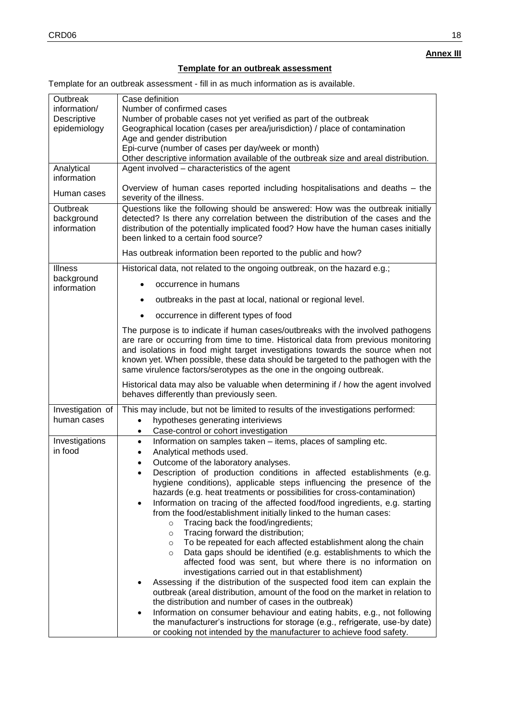# **Template for an outbreak assessment**

Template for an outbreak assessment - fill in as much information as is available.

| Outbreak                     | Case definition                                                                                                                                                                                                                                                                                                                                                                                                                                                                            |
|------------------------------|--------------------------------------------------------------------------------------------------------------------------------------------------------------------------------------------------------------------------------------------------------------------------------------------------------------------------------------------------------------------------------------------------------------------------------------------------------------------------------------------|
| information/                 | Number of confirmed cases                                                                                                                                                                                                                                                                                                                                                                                                                                                                  |
| Descriptive                  | Number of probable cases not yet verified as part of the outbreak                                                                                                                                                                                                                                                                                                                                                                                                                          |
| epidemiology                 | Geographical location (cases per area/jurisdiction) / place of contamination                                                                                                                                                                                                                                                                                                                                                                                                               |
|                              | Age and gender distribution                                                                                                                                                                                                                                                                                                                                                                                                                                                                |
|                              | Epi-curve (number of cases per day/week or month)                                                                                                                                                                                                                                                                                                                                                                                                                                          |
|                              | Other descriptive information available of the outbreak size and areal distribution.<br>Agent involved – characteristics of the agent                                                                                                                                                                                                                                                                                                                                                      |
| Analytical<br>information    |                                                                                                                                                                                                                                                                                                                                                                                                                                                                                            |
| Human cases                  | Overview of human cases reported including hospitalisations and deaths - the<br>severity of the illness.                                                                                                                                                                                                                                                                                                                                                                                   |
| Outbreak                     | Questions like the following should be answered: How was the outbreak initially                                                                                                                                                                                                                                                                                                                                                                                                            |
| background<br>information    | detected? Is there any correlation between the distribution of the cases and the<br>distribution of the potentially implicated food? How have the human cases initially<br>been linked to a certain food source?                                                                                                                                                                                                                                                                           |
|                              | Has outbreak information been reported to the public and how?                                                                                                                                                                                                                                                                                                                                                                                                                              |
| <b>Illness</b><br>background | Historical data, not related to the ongoing outbreak, on the hazard e.g.;                                                                                                                                                                                                                                                                                                                                                                                                                  |
| information                  | occurrence in humans                                                                                                                                                                                                                                                                                                                                                                                                                                                                       |
|                              | outbreaks in the past at local, national or regional level.<br>٠                                                                                                                                                                                                                                                                                                                                                                                                                           |
|                              | occurrence in different types of food                                                                                                                                                                                                                                                                                                                                                                                                                                                      |
|                              | The purpose is to indicate if human cases/outbreaks with the involved pathogens<br>are rare or occurring from time to time. Historical data from previous monitoring<br>and isolations in food might target investigations towards the source when not<br>known yet. When possible, these data should be targeted to the pathogen with the<br>same virulence factors/serotypes as the one in the ongoing outbreak.                                                                         |
|                              | Historical data may also be valuable when determining if / how the agent involved<br>behaves differently than previously seen.                                                                                                                                                                                                                                                                                                                                                             |
| Investigation of             | This may include, but not be limited to results of the investigations performed:                                                                                                                                                                                                                                                                                                                                                                                                           |
| human cases                  | hypotheses generating interiviews<br>$\bullet$                                                                                                                                                                                                                                                                                                                                                                                                                                             |
|                              | Case-control or cohort investigation<br>$\bullet$                                                                                                                                                                                                                                                                                                                                                                                                                                          |
| Investigations               | Information on samples taken - items, places of sampling etc.<br>$\bullet$                                                                                                                                                                                                                                                                                                                                                                                                                 |
| in food                      | Analytical methods used.                                                                                                                                                                                                                                                                                                                                                                                                                                                                   |
|                              | Outcome of the laboratory analyses.                                                                                                                                                                                                                                                                                                                                                                                                                                                        |
|                              | Description of production conditions in affected establishments (e.g.<br>hygiene conditions), applicable steps influencing the presence of the<br>hazards (e.g. heat treatments or possibilities for cross-contamination)<br>Information on tracing of the affected food/food ingredients, e.g. starting<br>$\bullet$<br>from the food/establishment initially linked to the human cases:<br>Tracing back the food/ingredients;<br>$\circ$<br>Tracing forward the distribution;<br>$\circ$ |
|                              | To be repeated for each affected establishment along the chain<br>$\circ$<br>Data gaps should be identified (e.g. establishments to which the<br>$\circ$<br>affected food was sent, but where there is no information on<br>investigations carried out in that establishment)<br>Assessing if the distribution of the suspected food item can explain the<br>outbreak (areal distribution, amount of the food on the market in relation to                                                 |
|                              | the distribution and number of cases in the outbreak)<br>Information on consumer behaviour and eating habits, e.g., not following                                                                                                                                                                                                                                                                                                                                                          |
|                              | the manufacturer's instructions for storage (e.g., refrigerate, use-by date)<br>or cooking not intended by the manufacturer to achieve food safety.                                                                                                                                                                                                                                                                                                                                        |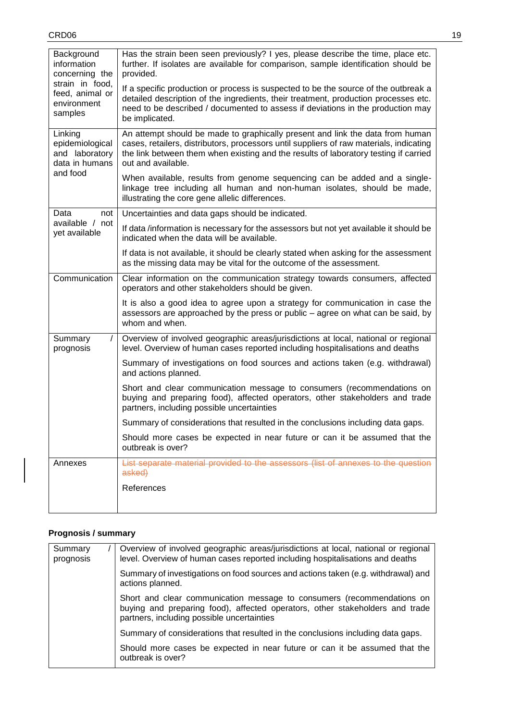| Background<br>information<br>concerning the<br>strain in food,<br>feed, animal or<br>environment<br>samples | Has the strain been seen previously? I yes, please describe the time, place etc.<br>further. If isolates are available for comparison, sample identification should be<br>provided.<br>If a specific production or process is suspected to be the source of the outbreak a<br>detailed description of the ingredients, their treatment, production processes etc.<br>need to be described / documented to assess if deviations in the production may<br>be implicated. |
|-------------------------------------------------------------------------------------------------------------|------------------------------------------------------------------------------------------------------------------------------------------------------------------------------------------------------------------------------------------------------------------------------------------------------------------------------------------------------------------------------------------------------------------------------------------------------------------------|
| Linking<br>epidemiological<br>and laboratory<br>data in humans                                              | An attempt should be made to graphically present and link the data from human<br>cases, retailers, distributors, processors until suppliers of raw materials, indicating<br>the link between them when existing and the results of laboratory testing if carried<br>out and available.                                                                                                                                                                                 |
| and food                                                                                                    | When available, results from genome sequencing can be added and a single-<br>linkage tree including all human and non-human isolates, should be made,<br>illustrating the core gene allelic differences.                                                                                                                                                                                                                                                               |
| Data<br>not                                                                                                 | Uncertainties and data gaps should be indicated.                                                                                                                                                                                                                                                                                                                                                                                                                       |
| available / not<br>yet available                                                                            | If data/information is necessary for the assessors but not yet available it should be<br>indicated when the data will be available.                                                                                                                                                                                                                                                                                                                                    |
|                                                                                                             | If data is not available, it should be clearly stated when asking for the assessment<br>as the missing data may be vital for the outcome of the assessment.                                                                                                                                                                                                                                                                                                            |
| Communication                                                                                               | Clear information on the communication strategy towards consumers, affected<br>operators and other stakeholders should be given.                                                                                                                                                                                                                                                                                                                                       |
|                                                                                                             | It is also a good idea to agree upon a strategy for communication in case the<br>assessors are approached by the press or public – agree on what can be said, by<br>whom and when.                                                                                                                                                                                                                                                                                     |
| $\prime$<br>Summary<br>prognosis                                                                            | Overview of involved geographic areas/jurisdictions at local, national or regional<br>level. Overview of human cases reported including hospitalisations and deaths                                                                                                                                                                                                                                                                                                    |
|                                                                                                             | Summary of investigations on food sources and actions taken (e.g. withdrawal)<br>and actions planned.                                                                                                                                                                                                                                                                                                                                                                  |
|                                                                                                             | Short and clear communication message to consumers (recommendations on<br>buying and preparing food), affected operators, other stakeholders and trade<br>partners, including possible uncertainties                                                                                                                                                                                                                                                                   |
|                                                                                                             | Summary of considerations that resulted in the conclusions including data gaps.                                                                                                                                                                                                                                                                                                                                                                                        |
|                                                                                                             | Should more cases be expected in near future or can it be assumed that the<br>outbreak is over?                                                                                                                                                                                                                                                                                                                                                                        |
| Annexes                                                                                                     | List separate material provided to the assessors (list of annexes to the question<br>asked)                                                                                                                                                                                                                                                                                                                                                                            |
|                                                                                                             | References                                                                                                                                                                                                                                                                                                                                                                                                                                                             |
|                                                                                                             |                                                                                                                                                                                                                                                                                                                                                                                                                                                                        |

# **Prognosis / summary**

| Summary<br>prognosis | Overview of involved geographic areas/jurisdictions at local, national or regional<br>level. Overview of human cases reported including hospitalisations and deaths                                  |
|----------------------|------------------------------------------------------------------------------------------------------------------------------------------------------------------------------------------------------|
|                      | Summary of investigations on food sources and actions taken (e.g. withdrawal) and<br>actions planned.                                                                                                |
|                      | Short and clear communication message to consumers (recommendations on<br>buying and preparing food), affected operators, other stakeholders and trade<br>partners, including possible uncertainties |
|                      | Summary of considerations that resulted in the conclusions including data gaps.                                                                                                                      |
|                      | Should more cases be expected in near future or can it be assumed that the<br>outbreak is over?                                                                                                      |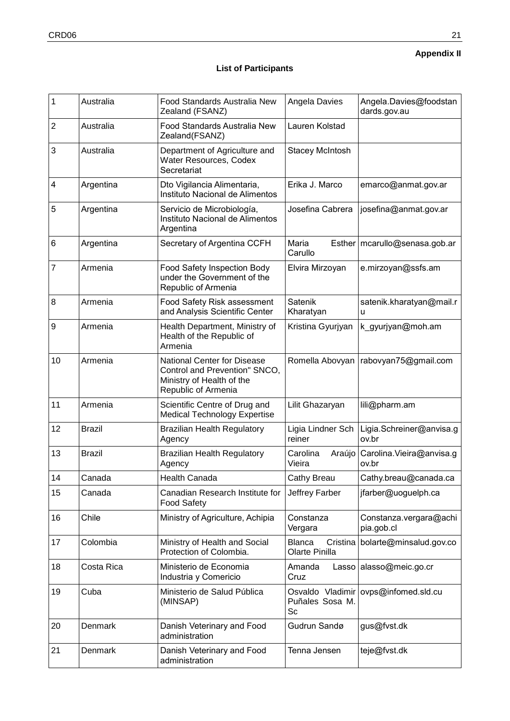# **Appendix II**

# **List of Participants**

| 1                       | Australia     | Food Standards Australia New<br>Zealand (FSANZ)                                                                         | Angela Davies                                                | Angela.Davies@foodstan<br>dards.gov.au |
|-------------------------|---------------|-------------------------------------------------------------------------------------------------------------------------|--------------------------------------------------------------|----------------------------------------|
| 2                       | Australia     | Food Standards Australia New<br>Zealand(FSANZ)                                                                          | Lauren Kolstad                                               |                                        |
| 3                       | Australia     | Department of Agriculture and<br>Water Resources, Codex<br>Secretariat                                                  | Stacey McIntosh                                              |                                        |
| $\overline{\mathbf{4}}$ | Argentina     | Dto Vigilancia Alimentaria,<br>Instituto Nacional de Alimentos                                                          | Erika J. Marco                                               | emarco@anmat.gov.ar                    |
| 5                       | Argentina     | Servicio de Microbiología,<br>Instituto Nacional de Alimentos<br>Argentina                                              | Josefina Cabrera                                             | josefina@anmat.gov.ar                  |
| 6                       | Argentina     | Secretary of Argentina CCFH                                                                                             | Maria<br>Esther<br>Carullo                                   | mcarullo@senasa.gob.ar                 |
| 7                       | Armenia       | Food Safety Inspection Body<br>under the Government of the<br>Republic of Armenia                                       | Elvira Mirzoyan                                              | e.mirzoyan@ssfs.am                     |
| 8                       | Armenia       | Food Safety Risk assessment<br>and Analysis Scientific Center                                                           | Satenik<br>Kharatyan                                         | satenik.kharatyan@mail.r<br>u          |
| $\boldsymbol{9}$        | Armenia       | Health Department, Ministry of<br>Health of the Republic of<br>Armenia                                                  | Kristina Gyurjyan                                            | k_gyurjyan@moh.am                      |
| 10                      | Armenia       | <b>National Center for Disease</b><br>Control and Prevention" SNCO,<br>Ministry of Health of the<br>Republic of Armenia | Romella Abovyan                                              | rabovyan75@gmail.com                   |
| 11                      | Armenia       | Scientific Centre of Drug and<br><b>Medical Technology Expertise</b>                                                    | Lilit Ghazaryan                                              | lili@pharm.am                          |
| 12                      | <b>Brazil</b> | <b>Brazilian Health Regulatory</b><br>Agency                                                                            | Ligia Lindner Sch<br>reiner                                  | Ligia.Schreiner@anvisa.g<br>ov.br      |
| 13                      | <b>Brazil</b> | <b>Brazilian Health Regulatory</b><br>Agency                                                                            | Carolina<br>Araújo<br>Vieira                                 | Carolina. Vieira@anvisa.g<br>ov.br     |
| 14                      | Canada        | Health Canada                                                                                                           | Cathy Breau<br>Cathy.breau@canada.ca                         |                                        |
| 15                      | Canada        | Canadian Research Institute for<br><b>Food Safety</b>                                                                   | Jeffrey Farber<br>jfarber@uoguelph.ca                        |                                        |
| 16                      | Chile         | Ministry of Agriculture, Achipia                                                                                        | Constanza<br>Constanza.vergara@achi<br>Vergara<br>pia.gob.cl |                                        |
| 17                      | Colombia      | Ministry of Health and Social<br>Protection of Colombia.                                                                | <b>Blanca</b><br>Cristina<br>Olarte Pinilla                  | bolarte@minsalud.gov.co                |
| 18                      | Costa Rica    | Ministerio de Economia<br>Industria y Comericio                                                                         | Amanda<br>Lasso<br>Cruz                                      | alasso@meic.go.cr                      |
| 19                      | Cuba          | Ministerio de Salud Pública<br>(MINSAP)                                                                                 | Osvaldo Vladimir<br>Puñales Sosa M.<br>Sc                    | ovps@infomed.sld.cu                    |
| 20                      | Denmark       | Danish Veterinary and Food<br>administration                                                                            | Gudrun Sandø                                                 | gus@fvst.dk                            |
| 21                      | Denmark       | Danish Veterinary and Food<br>administration                                                                            | Tenna Jensen                                                 | teje@fvst.dk                           |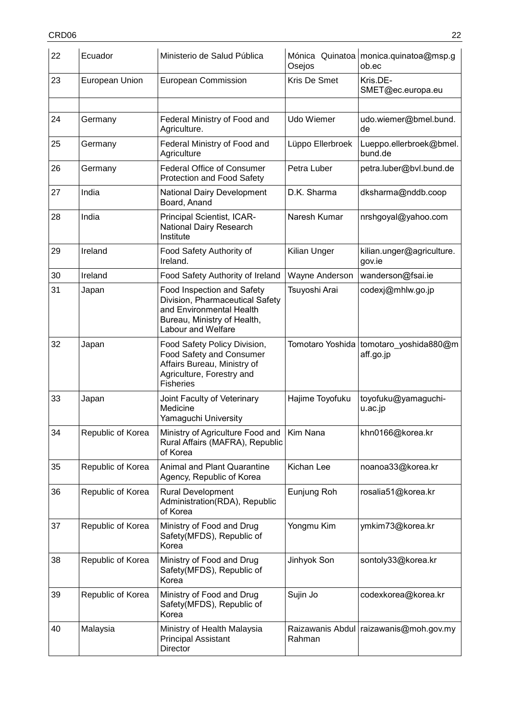| 22 | Ecuador           | Ministerio de Salud Pública                                                                                                                     | Osejos           | Mónica Quinatoa monica.quinatoa@msp.g<br>ob.ec      |
|----|-------------------|-------------------------------------------------------------------------------------------------------------------------------------------------|------------------|-----------------------------------------------------|
| 23 | European Union    | European Commission                                                                                                                             | Kris De Smet     | Kris.DE-<br>SMET@ec.europa.eu                       |
| 24 | Germany           | Federal Ministry of Food and<br>Agriculture.                                                                                                    | Udo Wiemer       | udo.wiemer@bmel.bund.<br>de                         |
| 25 | Germany           | Federal Ministry of Food and<br>Agriculture                                                                                                     | Lüppo Ellerbroek | Lueppo.ellerbroek@bmel.<br>bund.de                  |
| 26 | Germany           | <b>Federal Office of Consumer</b><br>Protection and Food Safety                                                                                 | Petra Luber      | petra.luber@bvl.bund.de                             |
| 27 | India             | National Dairy Development<br>Board, Anand                                                                                                      | D.K. Sharma      | dksharma@nddb.coop                                  |
| 28 | India             | Principal Scientist, ICAR-<br>National Dairy Research<br>Institute                                                                              | Naresh Kumar     | nrshgoyal@yahoo.com                                 |
| 29 | Ireland           | Food Safety Authority of<br>Ireland.                                                                                                            | Kilian Unger     | kilian.unger@agriculture.<br>gov.ie                 |
| 30 | Ireland           | Food Safety Authority of Ireland                                                                                                                | Wayne Anderson   | wanderson@fsai.ie                                   |
| 31 | Japan             | Food Inspection and Safety<br>Division, Pharmaceutical Safety<br>and Environmental Health<br>Bureau, Ministry of Health,<br>Labour and Welfare  | Tsuyoshi Arai    | codexj@mhlw.go.jp                                   |
| 32 | Japan             | Food Safety Policy Division,<br><b>Food Safety and Consumer</b><br>Affairs Bureau, Ministry of<br>Agriculture, Forestry and<br><b>Fisheries</b> |                  | Tomotaro Yoshida tomotaro_yoshida880@m<br>aff.go.jp |
| 33 | Japan             | Joint Faculty of Veterinary<br>Medicine<br>Yamaguchi University                                                                                 | Hajime Toyofuku  | toyofuku@yamaguchi-<br>u.ac.jp                      |
| 34 | Republic of Korea | Ministry of Agriculture Food and Kim Nana<br>Rural Affairs (MAFRA), Republic<br>of Korea                                                        |                  | khn0166@korea.kr                                    |
| 35 | Republic of Korea | <b>Animal and Plant Quarantine</b><br>Agency, Republic of Korea                                                                                 | Kichan Lee       | noanoa33@korea.kr                                   |
| 36 | Republic of Korea | <b>Rural Development</b><br>Administration(RDA), Republic<br>of Korea                                                                           | Eunjung Roh      | rosalia51@korea.kr                                  |
| 37 | Republic of Korea | Ministry of Food and Drug<br>Safety(MFDS), Republic of<br>Korea                                                                                 | Yongmu Kim       | ymkim73@korea.kr                                    |
| 38 | Republic of Korea | Ministry of Food and Drug<br>Safety(MFDS), Republic of<br>Korea                                                                                 | Jinhyok Son      | sontoly33@korea.kr                                  |
| 39 | Republic of Korea | Ministry of Food and Drug<br>Safety(MFDS), Republic of<br>Korea                                                                                 | Sujin Jo         | codexkorea@korea.kr                                 |
| 40 | Malaysia          | Ministry of Health Malaysia<br><b>Principal Assistant</b><br>Director                                                                           | Rahman           | Raizawanis Abdul   raizawanis@moh.gov.my            |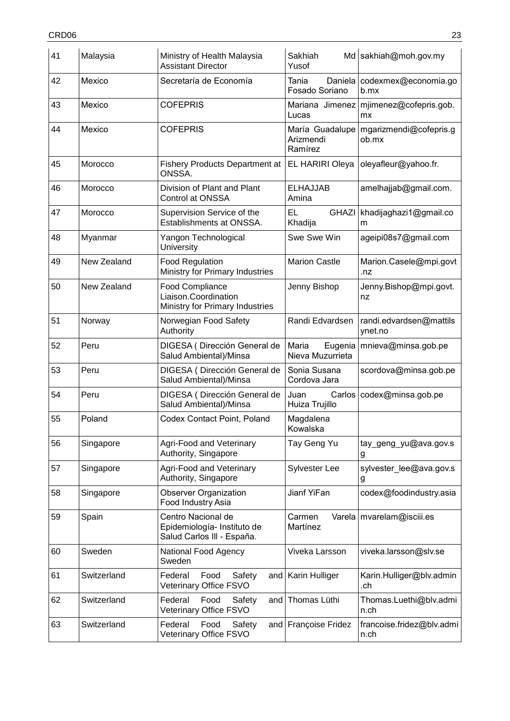| 41 | Malaysia    | Ministry of Health Malaysia<br><b>Assistant Director</b>                          | Sakhiah<br>Yusof                        | Md sakhiah@moh.gov.my              |
|----|-------------|-----------------------------------------------------------------------------------|-----------------------------------------|------------------------------------|
| 42 | Mexico      | Secretaría de Economía                                                            | Tania<br>Daniela<br>Fosado Soriano      | codexmex@economia.go<br>$b$ .mx    |
| 43 | Mexico      | <b>COFEPRIS</b>                                                                   | Mariana Jimenez<br>Lucas                | mjimenez@cofepris.gob.<br>mx       |
| 44 | Mexico      | <b>COFEPRIS</b>                                                                   | María Guadalupe<br>Arizmendi<br>Ramírez | mgarizmendi@cofepris.g<br>ob.mx    |
| 45 | Morocco     | <b>Fishery Products Department at</b><br>ONSSA.                                   | EL HARIRI Oleya                         | oleyafleur@yahoo.fr.               |
| 46 | Morocco     | Division of Plant and Plant<br>Control at ONSSA                                   | <b>ELHAJJAB</b><br>Amina                | amelhajjab@gmail.com.              |
| 47 | Morocco     | Supervision Service of the<br>Establishments at ONSSA.                            | EL<br><b>GHAZI</b><br>Khadija           | khadijaghazi1@gmail.co<br>m        |
| 48 | Myanmar     | Yangon Technological<br>University                                                | Swe Swe Win                             | ageipi08s7@gmail.com               |
| 49 | New Zealand | <b>Food Regulation</b><br>Ministry for Primary Industries                         | <b>Marion Castle</b>                    | Marion.Casele@mpi.govt<br>.nz      |
| 50 | New Zealand | <b>Food Compliance</b><br>Liaison.Coordination<br>Ministry for Primary Industries | Jenny Bishop                            | Jenny.Bishop@mpi.govt.<br>nz       |
| 51 | Norway      | Norwegian Food Safety<br>Authority                                                | Randi Edvardsen                         | randi.edvardsen@mattils<br>ynet.no |
| 52 | Peru        | DIGESA (Dirección General de<br>Salud Ambiental)/Minsa                            | Maria<br>Eugenia<br>Nieva Muzurrieta    | mnieva@minsa.gob.pe                |
| 53 | Peru        | DIGESA (Dirección General de<br>Salud Ambiental)/Minsa                            | Sonia Susana<br>Cordova Jara            | scordova@minsa.gob.pe              |
| 54 | Peru        | DIGESA (Dirección General de<br>Salud Ambiental)/Minsa                            | Carlos<br>Juan<br>Huiza Trujillo        | codex@minsa.gob.pe                 |
| 55 | Poland      | Codex Contact Point, Poland                                                       | Magdalena<br>Kowalska                   |                                    |
| 56 | Singapore   | Agri-Food and Veterinary<br>Authority, Singapore                                  | Tay Geng Yu                             | tay geng yu@ava.gov.s<br>g         |
| 57 | Singapore   | <b>Agri-Food and Veterinary</b><br>Authority, Singapore                           | <b>Sylvester Lee</b>                    | sylvester_lee@ava.gov.s<br>g       |
| 58 | Singapore   | <b>Observer Organization</b><br>Food Industry Asia                                | Jianf YiFan                             | codex@foodindustry.asia            |
| 59 | Spain       | Centro Nacional de<br>Epidemiología- Instituto de<br>Salud Carlos III - España.   | Carmen<br>Martínez                      | Varela   mvarelam@isciii.es        |
| 60 | Sweden      | National Food Agency<br>Sweden                                                    | Viveka Larsson                          | viveka.larsson@slv.se              |
| 61 | Switzerland | Food<br>Safety<br>Federal<br>Veterinary Office FSVO                               | and   Karin Hulliger                    | Karin.Hulliger@blv.admin<br>.ch    |
| 62 | Switzerland | Federal<br>Food<br>Safety<br>and<br>Veterinary Office FSVO                        | Thomas Lüthi                            | Thomas.Luethi@blv.admi<br>n.ch     |
| 63 | Switzerland | Federal<br>Food<br>Safety<br>Veterinary Office FSVO                               | and Françoise Fridez                    | francoise.fridez@blv.admi<br>n.ch  |